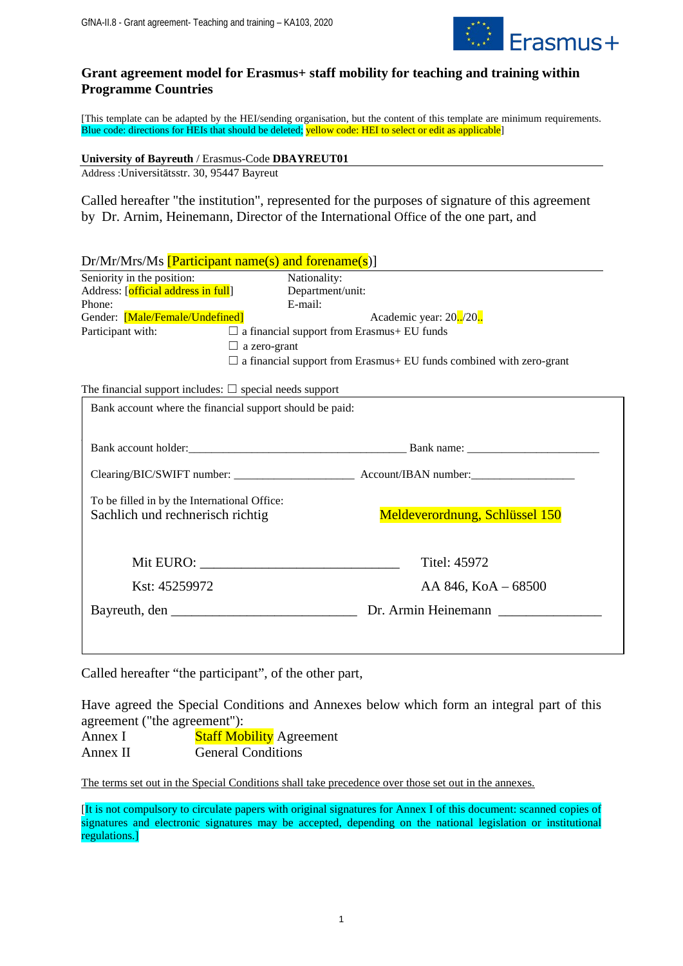

# **Grant agreement model for Erasmus+ staff mobility for teaching and training within Programme Countries**

[This template can be adapted by the HEI/sending organisation, but the content of this template are minimum requirements. Blue code: directions for HEIs that should be deleted; yellow code: HEI to select or edit as applicable]

**University of Bayreuth** / Erasmus-Code **DBAYREUT01**

Address :Universitätsstr. 30, 95447 Bayreut

Called hereafter "the institution", represented for the purposes of signature of this agreement by Dr. Arnim, Heinemann, Director of the International Office of the one part, and

|                                                                        | $Dr/Mr/Mrs/Ms$ [Participant name(s) and forename(s)]                |
|------------------------------------------------------------------------|---------------------------------------------------------------------|
| Seniority in the position:                                             | Nationality:                                                        |
| Address: [official address in full]                                    | Department/unit:                                                    |
| Phone:                                                                 | E-mail:                                                             |
| Gender: [Male/Female/Undefined]                                        | Academic year: 20./20.                                              |
| Participant with:<br>$\Box$ a financial support from Erasmus+ EU funds |                                                                     |
|                                                                        | a zero-grant<br>ш                                                   |
|                                                                        | a financial support from Erasmus+ EU funds combined with zero-grant |
| The financial support includes: $\Box$ special needs support           |                                                                     |
|                                                                        | Bank account where the financial support should be paid:            |
|                                                                        |                                                                     |
|                                                                        | Bank account holder: Bank name: Bank name:                          |
|                                                                        |                                                                     |
| To be filled in by the International Office:                           |                                                                     |
| Sachlich und rechnerisch richtig                                       | Meldeverordnung, Schlüssel 150                                      |
|                                                                        |                                                                     |
|                                                                        | Mit EURO:<br>Titel: 45972                                           |
| Kst: 45259972                                                          | AA 846, KoA - 68500                                                 |
|                                                                        |                                                                     |
|                                                                        |                                                                     |
|                                                                        |                                                                     |

Called hereafter "the participant", of the other part,

Have agreed the Special Conditions and Annexes below which form an integral part of this agreement ("the agreement"):

Annex I Staff Mobility Agreement Annex II General Conditions

The terms set out in the Special Conditions shall take precedence over those set out in the annexes.

[It is not compulsory to circulate papers with original signatures for Annex I of this document: scanned copies of signatures and electronic signatures may be accepted, depending on the national legislation or institutional regulations.]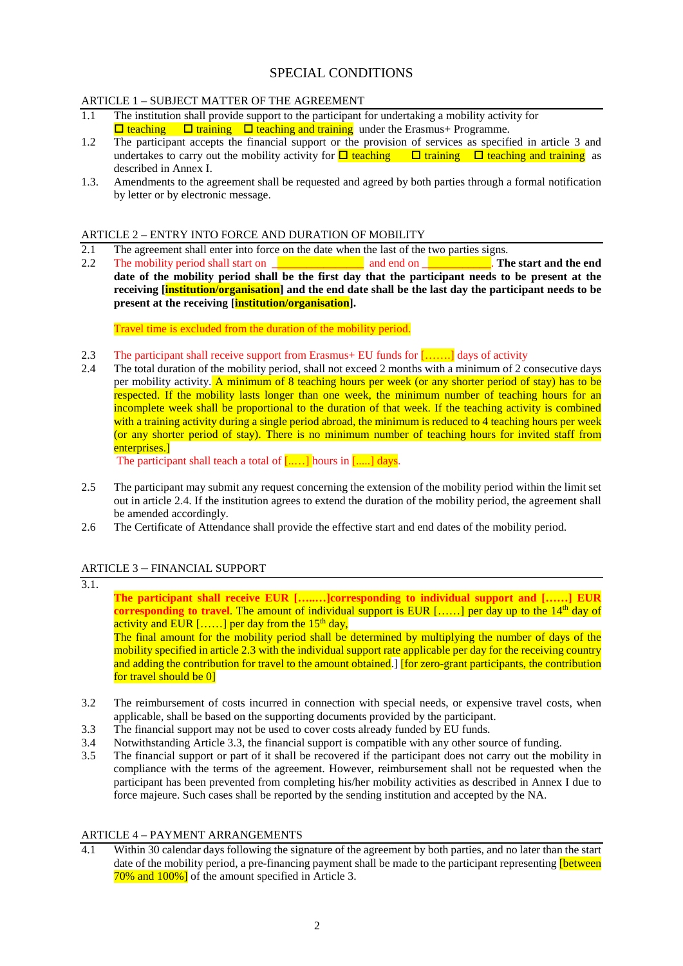# SPECIAL CONDITIONS

# ARTICLE 1 – SUBJECT MATTER OF THE AGREEMENT

- 1.1 The institution shall provide support to the participant for undertaking a mobility activity for  $\Box$  teaching  $\Box$  training  $\Box$  teaching and training under the Erasmus+ Programme.
- 1.2 The participant accepts the financial support or the provision of services as specified in article 3 and undertakes to carry out the mobility activity for  $\Box$  teaching  $\Box$  training  $\Box$  teaching and training as described in Annex I.
- 1.3. Amendments to the agreement shall be requested and agreed by both parties through a formal notification by letter or by electronic message.

# ARTICLE 2 – ENTRY INTO FORCE AND DURATION OF MOBILITY<br>2.1 The agreement shall enter into force on the date when the last of the

- 2.1 The agreement shall enter into force on the date when the last of the two parties signs.<br>2.2 The mobility period shall start on and end on **The mobility of the start of the start**
- 2.2 The mobility period shall start on \_\_\_\_\_\_\_\_\_\_\_\_\_\_\_\_ and end on \_\_\_\_\_\_\_\_\_\_\_\_. **The start and the end date of the mobility period shall be the first day that the participant needs to be present at the receiving [institution/organisation] and the end date shall be the last day the participant needs to be present at the receiving [institution/organisation].**

Travel time is excluded from the duration of the mobility period.

- 2.3 The participant shall receive support from Erasmus+ EU funds for  $[\ldots]$  days of activity 2.4 The total duration of the mobility period, shall not exceed 2 months with a minimum of 2 c
- 2.4 The total duration of the mobility period, shall not exceed 2 months with a minimum of 2 consecutive days per mobility activity. A minimum of 8 teaching hours per week (or any shorter period of stay) has to be respected. If the mobility lasts longer than one week, the minimum number of teaching hours for an incomplete week shall be proportional to the duration of that week. If the teaching activity is combined with a training activity during a single period abroad, the minimum is reduced to 4 teaching hours per week (or any shorter period of stay). There is no minimum number of teaching hours for invited staff from enterprises.]

The participant shall teach a total of  $[\dots]$  hours in  $[\dots]$  days.

- 2.5 The participant may submit any request concerning the extension of the mobility period within the limit set out in article 2.4. If the institution agrees to extend the duration of the mobility period, the agreement shall be amended accordingly.
- 2.6 The Certificate of Attendance shall provide the effective start and end dates of the mobility period.

# ARTICLE 3 – FINANCIAL SUPPORT

| 3.1. |                                                                                                                 |
|------|-----------------------------------------------------------------------------------------------------------------|
|      | The participant shall receive EUR []corresponding to individual support and [] EUR                              |
|      | corresponding to travel. The amount of individual support is EUR [] per day up to the $14th$ day of             |
|      | activity and EUR $[]$ per day from the 15 <sup>th</sup> day,                                                    |
|      | The final amount for the mobility period shall be determined by multiplying the number of days of the           |
|      | mobility specified in article 2.3 with the individual support rate applicable per day for the receiving country |
|      | and adding the contribution for travel to the amount obtained. [for zero-grant participants, the contribution   |
|      | for travel should be 0]                                                                                         |
|      |                                                                                                                 |
|      | The reimburgement of costs incurred in connection with special needs or expensive travel costs, when            |

- 3.2 The reimbursement of costs incurred in connection with special needs, or expensive travel costs, when applicable, shall be based on the supporting documents provided by the participant.
- 3.3 The financial support may not be used to cover costs already funded by EU funds.
- 3.4 Notwithstanding Article 3.3, the financial support is compatible with any other source of funding.
- 3.5 The financial support or part of it shall be recovered if the participant does not carry out the mobility in compliance with the terms of the agreement. However, reimbursement shall not be requested when the participant has been prevented from completing his/her mobility activities as described in Annex I due to force majeure. Such cases shall be reported by the sending institution and accepted by the NA.

### ARTICLE 4 – PAYMENT ARRANGEMENTS

4.1 Within 30 calendar days following the signature of the agreement by both parties, and no later than the start date of the mobility period, a pre-financing payment shall be made to the participant representing **[between**] 70% and 100%] of the amount specified in Article 3.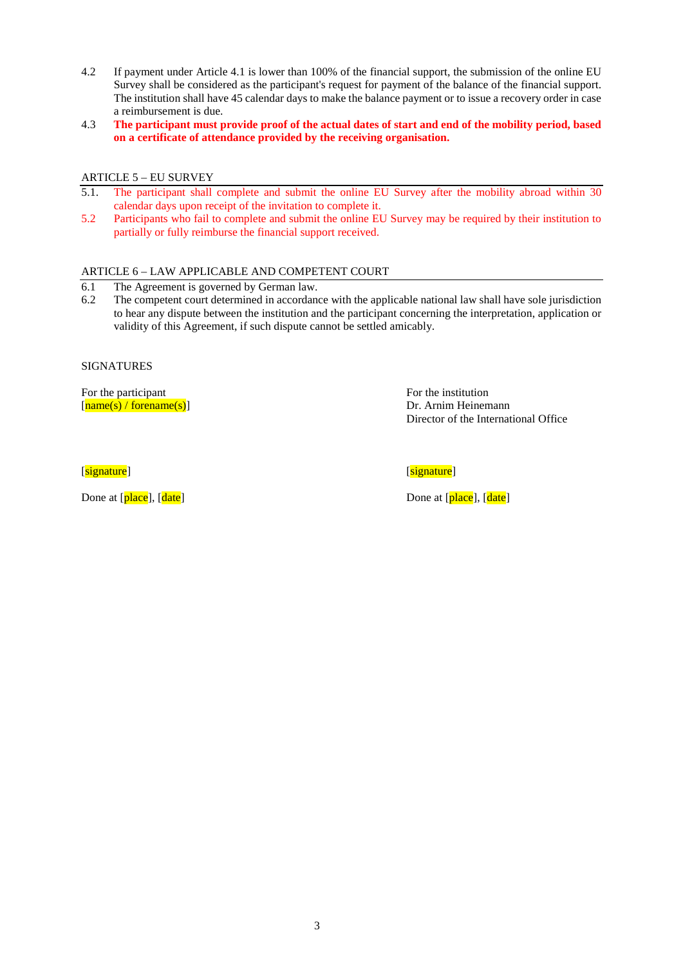- 4.2 If payment under Article 4.1 is lower than 100% of the financial support, the submission of the online EU Survey shall be considered as the participant's request for payment of the balance of the financial support. The institution shall have 45 calendar days to make the balance payment or to issue a recovery order in case a reimbursement is due.
- 4.3 **The participant must provide proof of the actual dates of start and end of the mobility period, based on a certificate of attendance provided by the receiving organisation.**

## ARTICLE 5 – EU SURVEY

- 5.1. The participant shall complete and submit the online EU Survey after the mobility abroad within 30 calendar days upon receipt of the invitation to complete it.
- 5.2 Participants who fail to complete and submit the online EU Survey may be required by their institution to partially or fully reimburse the financial support received.

### ARTICLE 6 – LAW APPLICABLE AND COMPETENT COURT

- 6.1 The Agreement is governed by German law.<br>6.2 The competent court determined in accordan
- The competent court determined in accordance with the applicable national law shall have sole jurisdiction to hear any dispute between the institution and the participant concerning the interpretation, application or validity of this Agreement, if such dispute cannot be settled amicably.

#### SIGNATURES

For the participant For the institution [ $name(s) / forename(s)$ ] Dr. Arnim Heinemann

Director of the International Office

[**signature**] **[**signature] **[**signature]

Done at [place], [date] Done at [place], [date]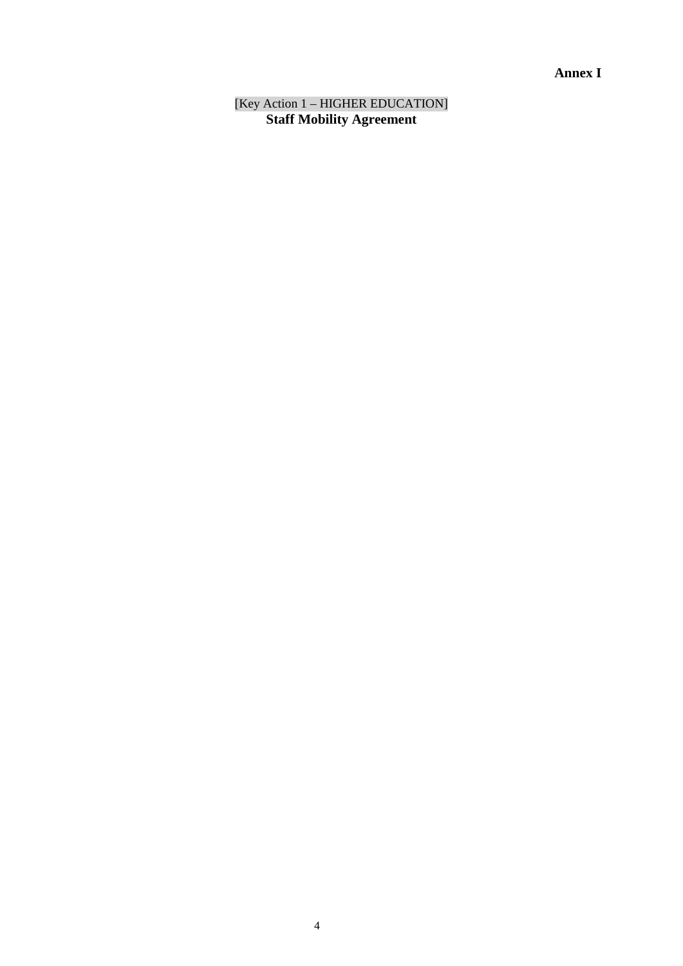# **Annex I**

[Key Action 1 – HIGHER EDUCATION] **Staff Mobility Agreement**